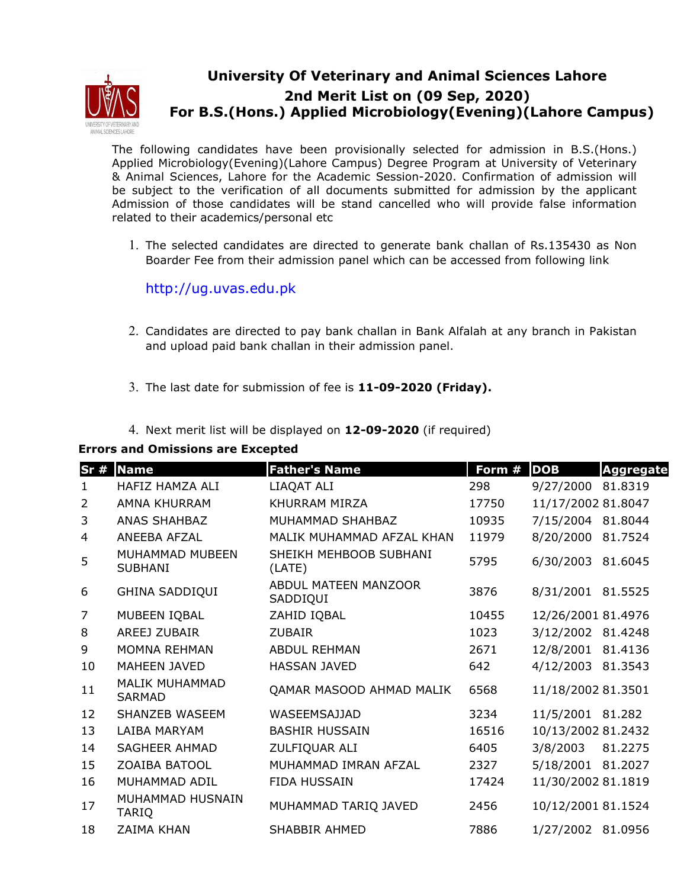

## **University Of Veterinary and Animal Sciences Lahore 2nd Merit List on (09 Sep, 2020) For B.S.(Hons.) Applied Microbiology(Evening)(Lahore Campus)**

The following candidates have been provisionally selected for admission in B.S.(Hons.) Applied Microbiology(Evening)(Lahore Campus) Degree Program at University of Veterinary & Animal Sciences, Lahore for the Academic Session-2020. Confirmation of admission will be subject to the verification of all documents submitted for admission by the applicant Admission of those candidates will be stand cancelled who will provide false information related to their academics/personal etc

1. The selected candidates are directed to generate bank challan of Rs.135430 as Non Boarder Fee from their admission panel which can be accessed from following link

## http://ug.uvas.edu.pk

- 2. Candidates are directed to pay bank challan in Bank Alfalah at any branch in Pakistan and upload paid bank challan in their admission panel.
- 3. The last date for submission of fee is **11-09-2020 (Friday).**
- 4. Next merit list will be displayed on **12-09-2020** (if required)

| Sr#            | <b>Name</b>                            | <b>Father's Name</b>             | Form # | <b>DOB</b>         | <b>Aggregate</b> |
|----------------|----------------------------------------|----------------------------------|--------|--------------------|------------------|
| 1.             | HAFIZ HAMZA ALI                        | LIAQAT ALI                       | 298    | 9/27/2000          | 81.8319          |
| 2              | AMNA KHURRAM                           | KHURRAM MIRZA                    | 17750  | 11/17/2002 81.8047 |                  |
| 3              | <b>ANAS SHAHBAZ</b>                    | MUHAMMAD SHAHBAZ                 | 10935  | 7/15/2004          | 81.8044          |
| 4              | ANEEBA AFZAL                           | MALIK MUHAMMAD AFZAL KHAN        | 11979  | 8/20/2000          | 81.7524          |
| 5              | MUHAMMAD MUBEEN<br><b>SUBHANI</b>      | SHEIKH MEHBOOB SUBHANI<br>(LATE) | 5795   | 6/30/2003          | 81.6045          |
| 6              | <b>GHINA SADDIQUI</b>                  | ABDUL MATEEN MANZOOR<br>SADDIQUI | 3876   | 8/31/2001          | 81.5525          |
| $\overline{7}$ | MUBEEN IQBAL                           | ZAHID IQBAL                      | 10455  | 12/26/2001 81.4976 |                  |
| 8              | <b>AREEJ ZUBAIR</b>                    | <b>ZUBAIR</b>                    | 1023   | 3/12/2002 81.4248  |                  |
| 9              | <b>MOMNA REHMAN</b>                    | <b>ABDUL REHMAN</b>              | 2671   | 12/8/2001 81.4136  |                  |
| 10             | <b>MAHEEN JAVED</b>                    | <b>HASSAN JAVED</b>              | 642    | 4/12/2003 81.3543  |                  |
| 11             | <b>MALIK MUHAMMAD</b><br><b>SARMAD</b> | QAMAR MASOOD AHMAD MALIK         | 6568   | 11/18/2002 81.3501 |                  |
| 12             | <b>SHANZEB WASEEM</b>                  | <b>WASEEMSAJJAD</b>              | 3234   | 11/5/2001 81.282   |                  |
| 13             | LAIBA MARYAM                           | <b>BASHIR HUSSAIN</b>            | 16516  | 10/13/2002 81.2432 |                  |
| 14             | <b>SAGHEER AHMAD</b>                   | ZULFIQUAR ALI                    | 6405   | 3/8/2003           | 81.2275          |
| 15             | <b>ZOAIBA BATOOL</b>                   | MUHAMMAD IMRAN AFZAL             | 2327   | 5/18/2001 81.2027  |                  |
| 16             | MUHAMMAD ADIL                          | <b>FIDA HUSSAIN</b>              | 17424  | 11/30/2002 81.1819 |                  |
| 17             | MUHAMMAD HUSNAIN<br><b>TARIQ</b>       | MUHAMMAD TARIQ JAVED             | 2456   | 10/12/2001 81.1524 |                  |
| 18             | <b>ZAIMA KHAN</b>                      | <b>SHABBIR AHMED</b>             | 7886   | 1/27/2002 81.0956  |                  |
|                |                                        |                                  |        |                    |                  |

## **Errors and Omissions are Excepted**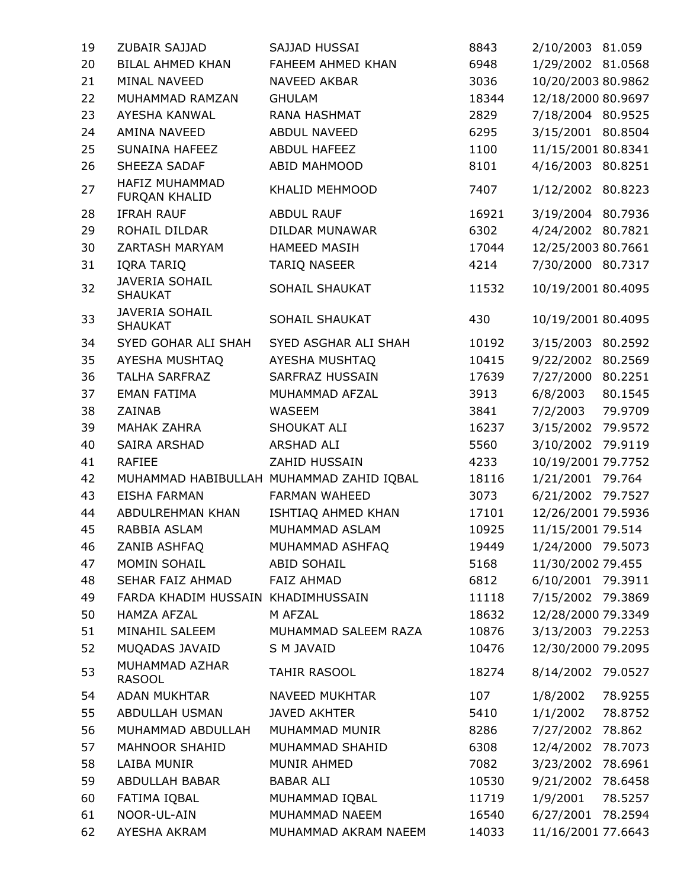| 19 | ZUBAIR SAJJAD                           | SAJJAD HUSSAI                            | 8843  | 2/10/2003 81.059   |         |
|----|-----------------------------------------|------------------------------------------|-------|--------------------|---------|
| 20 | <b>BILAL AHMED KHAN</b>                 | FAHEEM AHMED KHAN                        | 6948  | 1/29/2002 81.0568  |         |
| 21 | MINAL NAVEED                            | NAVEED AKBAR                             | 3036  | 10/20/2003 80.9862 |         |
| 22 | MUHAMMAD RAMZAN                         | <b>GHULAM</b>                            | 18344 | 12/18/2000 80.9697 |         |
| 23 | AYESHA KANWAL                           | RANA HASHMAT                             | 2829  | 7/18/2004 80.9525  |         |
| 24 | AMINA NAVEED                            | ABDUL NAVEED                             | 6295  | 3/15/2001 80.8504  |         |
| 25 | SUNAINA HAFEEZ                          | <b>ABDUL HAFEEZ</b>                      | 1100  | 11/15/2001 80.8341 |         |
| 26 | SHEEZA SADAF                            | ABID MAHMOOD                             | 8101  | 4/16/2003 80.8251  |         |
| 27 | HAFIZ MUHAMMAD<br>FURQAN KHALID         | KHALID MEHMOOD                           | 7407  | 1/12/2002 80.8223  |         |
| 28 | <b>IFRAH RAUF</b>                       | <b>ABDUL RAUF</b>                        | 16921 | 3/19/2004 80.7936  |         |
| 29 | ROHAIL DILDAR                           | DILDAR MUNAWAR                           | 6302  | 4/24/2002 80.7821  |         |
| 30 | ZARTASH MARYAM                          | <b>HAMEED MASIH</b>                      | 17044 | 12/25/2003 80.7661 |         |
| 31 | IQRA TARIQ                              | <b>TARIQ NASEER</b>                      | 4214  | 7/30/2000 80.7317  |         |
| 32 | <b>JAVERIA SOHAIL</b><br><b>SHAUKAT</b> | SOHAIL SHAUKAT                           | 11532 | 10/19/2001 80.4095 |         |
| 33 | <b>JAVERIA SOHAIL</b><br><b>SHAUKAT</b> | SOHAIL SHAUKAT                           | 430   | 10/19/2001 80.4095 |         |
| 34 | SYED GOHAR ALI SHAH                     | SYED ASGHAR ALI SHAH                     | 10192 | 3/15/2003 80.2592  |         |
| 35 | AYESHA MUSHTAQ                          | AYESHA MUSHTAQ                           | 10415 | 9/22/2002 80.2569  |         |
| 36 | <b>TALHA SARFRAZ</b>                    | SARFRAZ HUSSAIN                          | 17639 | 7/27/2000 80.2251  |         |
| 37 | <b>EMAN FATIMA</b>                      | MUHAMMAD AFZAL                           | 3913  | 6/8/2003           | 80.1545 |
| 38 | ZAINAB                                  | WASEEM                                   | 3841  | 7/2/2003           | 79.9709 |
| 39 | <b>MAHAK ZAHRA</b>                      | SHOUKAT ALI                              | 16237 | 3/15/2002 79.9572  |         |
| 40 | SAIRA ARSHAD                            | ARSHAD ALI                               | 5560  | 3/10/2002 79.9119  |         |
| 41 | <b>RAFIEE</b>                           | ZAHID HUSSAIN                            | 4233  | 10/19/2001 79.7752 |         |
| 42 |                                         | MUHAMMAD HABIBULLAH MUHAMMAD ZAHID IQBAL | 18116 | 1/21/2001 79.764   |         |
| 43 | <b>EISHA FARMAN</b>                     | <b>FARMAN WAHEED</b>                     | 3073  | 6/21/2002 79.7527  |         |
| 44 | ABDULREHMAN KHAN                        | ISHTIAQ AHMED KHAN                       | 17101 | 12/26/2001 79.5936 |         |
| 45 | RABBIA ASLAM                            | MUHAMMAD ASLAM                           | 10925 | 11/15/2001 79.514  |         |
| 46 | ZANIB ASHFAQ                            | MUHAMMAD ASHFAQ                          | 19449 | 1/24/2000 79.5073  |         |
| 47 | MOMIN SOHAIL                            | <b>ABID SOHAIL</b>                       | 5168  | 11/30/2002 79.455  |         |
| 48 | SEHAR FAIZ AHMAD                        | <b>FAIZ AHMAD</b>                        | 6812  | 6/10/2001 79.3911  |         |
| 49 | FARDA KHADIM HUSSAIN KHADIMHUSSAIN      |                                          | 11118 | 7/15/2002 79.3869  |         |
| 50 | <b>HAMZA AFZAL</b>                      | M AFZAL                                  | 18632 | 12/28/2000 79.3349 |         |
| 51 | MINAHIL SALEEM                          | MUHAMMAD SALEEM RAZA                     | 10876 | 3/13/2003 79.2253  |         |
| 52 | MUQADAS JAVAID                          | S M JAVAID                               | 10476 | 12/30/2000 79.2095 |         |
| 53 | MUHAMMAD AZHAR<br><b>RASOOL</b>         | TAHIR RASOOL                             | 18274 | 8/14/2002 79.0527  |         |
| 54 | <b>ADAN MUKHTAR</b>                     | NAVEED MUKHTAR                           | 107   | 1/8/2002           | 78.9255 |
| 55 | ABDULLAH USMAN                          | <b>JAVED AKHTER</b>                      | 5410  | 1/1/2002           | 78.8752 |
| 56 | MUHAMMAD ABDULLAH                       | MUHAMMAD MUNIR                           | 8286  | 7/27/2002 78.862   |         |
| 57 | <b>MAHNOOR SHAHID</b>                   | MUHAMMAD SHAHID                          | 6308  | 12/4/2002 78.7073  |         |
| 58 | LAIBA MUNIR                             | MUNIR AHMED                              | 7082  | 3/23/2002 78.6961  |         |
| 59 | ABDULLAH BABAR                          | <b>BABAR ALI</b>                         | 10530 | 9/21/2002 78.6458  |         |
| 60 | FATIMA IQBAL                            | MUHAMMAD IQBAL                           | 11719 | 1/9/2001           | 78.5257 |
| 61 | NOOR-UL-AIN                             | MUHAMMAD NAEEM                           | 16540 | 6/27/2001 78.2594  |         |
| 62 | AYESHA AKRAM                            | MUHAMMAD AKRAM NAEEM                     | 14033 | 11/16/2001 77.6643 |         |